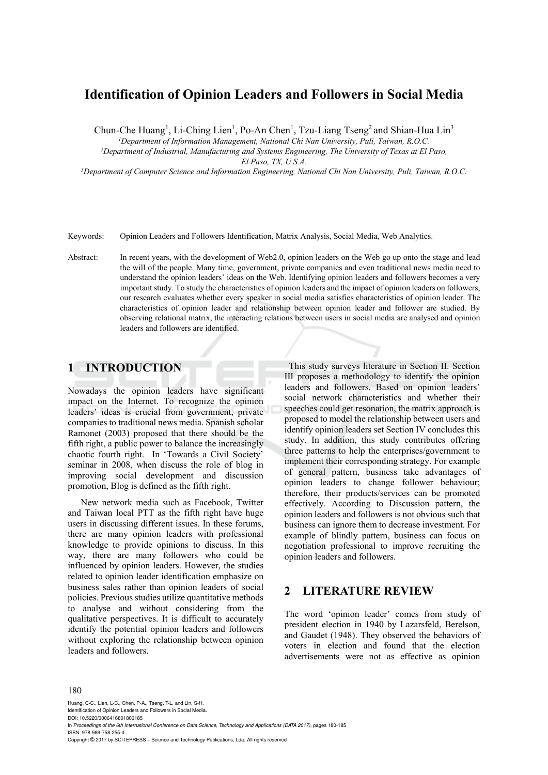# **Identification of Opinion Leaders and Followers in Social Media**

Chun-Che Huang<sup>1</sup>, Li-Ching Lien<sup>1</sup>, Po-An Chen<sup>1</sup>, Tzu-Liang Tseng<sup>2</sup> and Shian-Hua Lin<sup>3</sup>

*1Department of Information Management, National Chi Nan University, Puli, Taiwan, R.O.C. 2Department of Industrial, Manufacturing and Systems Engineering, The University of Texas at El Paso,* 

*El Paso, TX, U.S.A.*<br><sup>3</sup>Department of Computer Science and Information Engineering, National Chi Nan University, Puli, Taiwan, R.O.C.

Keywords: Opinion Leaders and Followers Identification, Matrix Analysis, Social Media, Web Analytics.

Abstract: In recent years, with the development of Web2.0, opinion leaders on the Web go up onto the stage and lead the will of the people. Many time, government, private companies and even traditional news media need to understand the opinion leaders' ideas on the Web. Identifying opinion leaders and followers becomes a very important study. To study the characteristics of opinion leaders and the impact of opinion leaders on followers, our research evaluates whether every speaker in social media satisfies characteristics of opinion leader. The characteristics of opinion leader and relationship between opinion leader and follower are studied. By observing relational matrix, the interacting relations between users in social media are analysed and opinion leaders and followers are identified.

## **1 INTRODUCTION**

Nowadays the opinion leaders have significant impact on the Internet. To recognize the opinion leaders' ideas is crucial from government, private companies to traditional news media. Spanish scholar Ramonet (2003) proposed that there should be the fifth right, a public power to balance the increasingly chaotic fourth right. In 'Towards a Civil Society' seminar in 2008, when discuss the role of blog in improving social development and discussion promotion, Blog is defined as the fifth right.

New network media such as Facebook, Twitter and Taiwan local PTT as the fifth right have huge users in discussing different issues. In these forums, there are many opinion leaders with professional knowledge to provide opinions to discuss. In this way, there are many followers who could be influenced by opinion leaders. However, the studies related to opinion leader identification emphasize on business sales rather than opinion leaders of social policies. Previous studies utilize quantitative methods to analyse and without considering from the qualitative perspectives. It is difficult to accurately identify the potential opinion leaders and followers without exploring the relationship between opinion leaders and followers.

This study surveys literature in Section II. Section III proposes a methodology to identify the opinion leaders and followers. Based on opinion leaders' social network characteristics and whether their speeches could get resonation, the matrix approach is proposed to model the relationship between users and identify opinion leaders set Section IV concludes this study. In addition, this study contributes offering three patterns to help the enterprises/government to implement their corresponding strategy. For example of general pattern, business take advantages of opinion leaders to change follower behaviour; therefore, their products/services can be promoted effectively. According to Discussion pattern, the opinion leaders and followers is not obvious such that business can ignore them to decrease investment. For example of blindly pattern, business can focus on negotiation professional to improve recruiting the opinion leaders and followers.

### **2 LITERATURE REVIEW**

The word 'opinion leader' comes from study of president election in 1940 by Lazarsfeld, Berelson, and Gaudet (1948). They observed the behaviors of voters in election and found that the election advertisements were not as effective as opinion

#### 180

Huang, C-C., Lien, L-C., Chen, P-A., Tseng, T-L. and Lin, S-H. Identification of Opinion Leaders and Followers in Social Media.

DOI: 10.5220/0006416801800185

In *Proceedings of the 6th International Conference on Data Science, Technology and Applications (DATA 2017)*, pages 180-185 ISBN: 978-989-758-255-4

Copyright © 2017 by SCITEPRESS – Science and Technology Publications, Lda. All rights reserved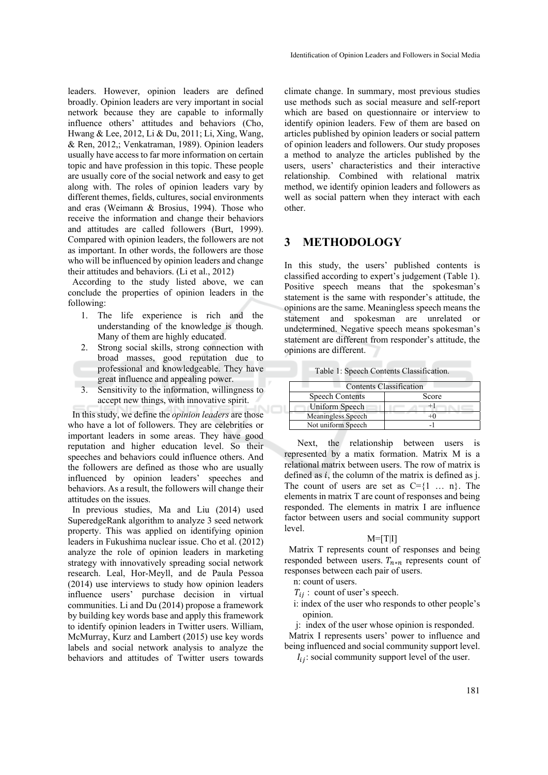leaders. However, opinion leaders are defined broadly. Opinion leaders are very important in social network because they are capable to informally influence others' attitudes and behaviors (Cho, Hwang & Lee, 2012, Li & Du, 2011; Li, Xing, Wang, & Ren, 2012,; Venkatraman, 1989). Opinion leaders usually have access to far more information on certain topic and have profession in this topic. These people are usually core of the social network and easy to get along with. The roles of opinion leaders vary by different themes, fields, cultures, social environments and eras (Weimann & Brosius, 1994). Those who receive the information and change their behaviors and attitudes are called followers (Burt, 1999). Compared with opinion leaders, the followers are not as important. In other words, the followers are those who will be influenced by opinion leaders and change their attitudes and behaviors. (Li et al., 2012)

According to the study listed above, we can conclude the properties of opinion leaders in the following:

- 1. The life experience is rich and the understanding of the knowledge is though. Many of them are highly educated.
- 2. Strong social skills, strong connection with broad masses, good reputation due to professional and knowledgeable. They have great influence and appealing power.
- 3. Sensitivity to the information, willingness to accept new things, with innovative spirit.

In this study, we define the *opinion leaders* are those who have a lot of followers. They are celebrities or important leaders in some areas. They have good reputation and higher education level. So their speeches and behaviors could influence others. And the followers are defined as those who are usually influenced by opinion leaders' speeches and behaviors. As a result, the followers will change their attitudes on the issues.

In previous studies, Ma and Liu (2014) used SuperedgeRank algorithm to analyze 3 seed network property. This was applied on identifying opinion leaders in Fukushima nuclear issue. Cho et al. (2012) analyze the role of opinion leaders in marketing strategy with innovatively spreading social network research. Leal, Hor-Meyll, and de Paula Pessoa (2014) use interviews to study how opinion leaders influence users' purchase decision in virtual communities. Li and Du (2014) propose a framework by building key words base and apply this framework to identify opinion leaders in Twitter users. William, McMurray, Kurz and Lambert (2015) use key words labels and social network analysis to analyze the behaviors and attitudes of Twitter users towards

climate change. In summary, most previous studies use methods such as social measure and self-report which are based on questionnaire or interview to identify opinion leaders. Few of them are based on articles published by opinion leaders or social pattern of opinion leaders and followers. Our study proposes a method to analyze the articles published by the users, users' characteristics and their interactive relationship. Combined with relational matrix method, we identify opinion leaders and followers as well as social pattern when they interact with each other.

#### **3 METHODOLOGY**

In this study, the users' published contents is classified according to expert's judgement (Table 1). Positive speech means that the spokesman's statement is the same with responder's attitude, the opinions are the same. Meaningless speech means the statement and spokesman are unrelated or undetermined. Negative speech means spokesman's statement are different from responder's attitude, the opinions are different.

Table 1: Speech Contents Classification.

| <b>Contents Classification</b> |       |  |  |  |  |
|--------------------------------|-------|--|--|--|--|
| <b>Speech Contents</b>         | Score |  |  |  |  |
| Uniform Speech                 |       |  |  |  |  |
| <b>Meaningless Speech</b>      |       |  |  |  |  |
| Not uniform Speech             |       |  |  |  |  |

Next, the relationship between users is represented by a matix formation. Matrix M is a relational matrix between users. The row of matrix is defined as  $i$ , the column of the matrix is defined as j. The count of users are set as  $C = \{1 \dots n\}$ . The elements in matrix T are count of responses and being responded. The elements in matrix I are influence factor between users and social community support level.

#### $M = [T|I]$

Matrix T represents count of responses and being responded between users.  $T_{n*n}$  represents count of responses between each pair of users.

n: count of users.

 $T_{ii}$ : count of user's speech.

- i: index of the user who responds to other people's opinion.
- j: index of the user whose opinion is responded.

Matrix I represents users' power to influence and being influenced and social community support level.

 $I_{ij}$ : social community support level of the user.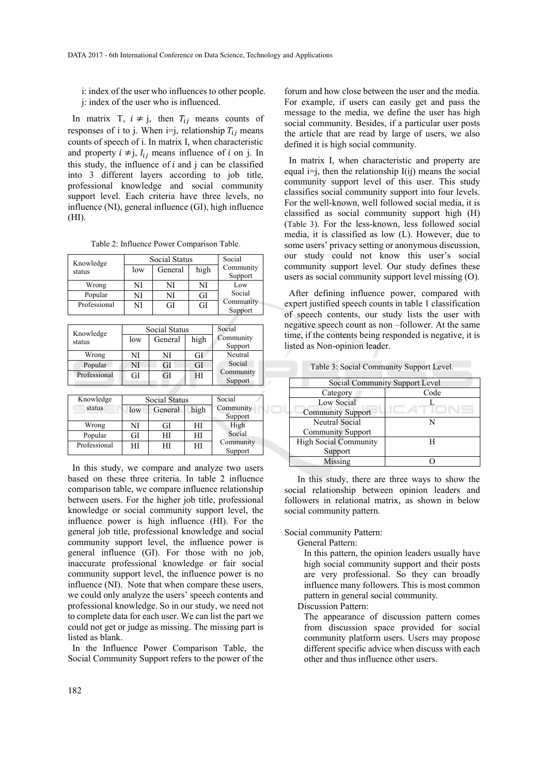i: index of the user who influences to other people. j: index of the user who is influenced.

In matrix T,  $i \neq j$ , then  $T_{ij}$  means counts of responses of i to j. When i=j, relationship  $T_{ij}$  means counts of speech of i. In matrix I, when characteristic and property  $i \neq j$ ,  $I_{ij}$  means influence of i on j. In this study, the influence of  $i$  and  $j$  can be classified into 3 different layers according to job title, professional knowledge and social community support level. Each criteria have three levels, no influence (NI), general influence (GI), high influence (HI).

Table 2: Influence Power Comparison Table.

| Knowledge    |                | <b>Social Status</b> | Social                         |                      |  |      |
|--------------|----------------|----------------------|--------------------------------|----------------------|--|------|
| status       | low            | General              | high                           | Community<br>Support |  |      |
| Wrong        | NI             | NI                   | NI                             | Low                  |  |      |
| Popular      | NI             | NI                   | GI                             | Social               |  |      |
| Professional | NI             | GI                   | GI                             | Community<br>Support |  |      |
|              |                |                      |                                |                      |  |      |
| Knowledge    |                | Social Status        | Social<br>Community<br>Support |                      |  |      |
| status       | low<br>General |                      |                                |                      |  | high |
| Wrong        | NI             | GI<br>NI             |                                | Neutral              |  |      |
| Popular      | NI             | GI<br>GI             |                                | Social               |  |      |
| Professional | GI             | GI                   | HI                             | Community<br>Support |  |      |
|              |                |                      |                                |                      |  |      |
| Knowledge    |                | <b>Social Status</b> | Social                         |                      |  |      |
| status       | General<br>low |                      | high                           | Community<br>Support |  |      |
| Wrong        | NI<br>GІ       |                      | НI                             | High                 |  |      |

Popular | GI | HI | HI Professional HI HI HI

Social Community Support

In this study, we compare and analyze two users based on these three criteria. In table 2 influence comparison table, we compare influence relationship between users. For the higher job title, professional knowledge or social community support level, the influence power is high influence (HI). For the general job title, professional knowledge and social community support level, the influence power is general influence (GI). For those with no job, inaccurate professional knowledge or fair social community support level, the influence power is no influence (NI). Note that when compare these users, we could only analyze the users' speech contents and professional knowledge. So in our study, we need not to complete data for each user. We can list the part we could not get or judge as missing. The missing part is listed as blank.

In the Influence Power Comparison Table, the Social Community Support refers to the power of the

forum and how close between the user and the media. For example, if users can easily get and pass the message to the media, we define the user has high social community. Besides, if a particular user posts the article that are read by large of users, we also defined it is high social community.

In matrix I, when characteristic and property are equal  $i=j$ , then the relationship  $I(ij)$  means the social community support level of this user. This study classifies social community support into four levels. For the well-known, well followed social media, it is classified as social community support high (H) (Table 3). For the less-known, less followed social media, it is classified as low (L). However, due to some users' privacy setting or anonymous discussion, our study could not know this user's social community support level. Our study defines these users as social community support level missing (O).

After defining influence power, compared with expert justified speech counts in table 1 classification of speech contents, our study lists the user with negative speech count as non –follower. At the same time, if the contents being responded is negative, it is listed as Non-opinion leader.

| Social Community Support Level |      |  |  |  |  |  |  |
|--------------------------------|------|--|--|--|--|--|--|
| Category                       | Code |  |  |  |  |  |  |
| Low Social                     |      |  |  |  |  |  |  |
| <b>Community Support</b>       |      |  |  |  |  |  |  |
| <b>Neutral Social</b>          |      |  |  |  |  |  |  |
| <b>Community Support</b>       |      |  |  |  |  |  |  |
| <b>High Social Community</b>   |      |  |  |  |  |  |  |
| Support                        |      |  |  |  |  |  |  |
| Missing                        |      |  |  |  |  |  |  |

Table 3: Social Community Support Level.

In this study, there are three ways to show the social relationship between opinion leaders and followers in relational matrix, as shown in below social community pattern.

Social community Pattern:

General Pattern:

In this pattern, the opinion leaders usually have high social community support and their posts are very professional. So they can broadly influence many followers. This is most common pattern in general social community.

Discussion Pattern:

The appearance of discussion pattern comes from discussion space provided for social community platform users. Users may propose different specific advice when discuss with each other and thus influence other users.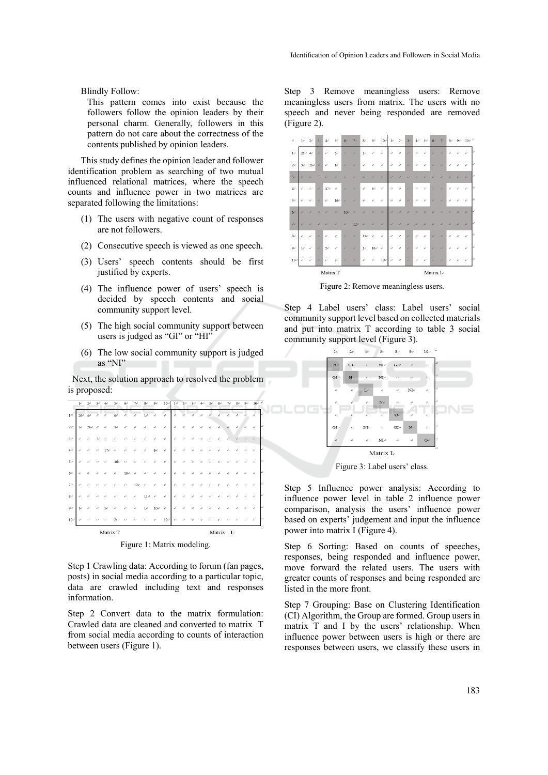Blindly Follow:

This pattern comes into exist because the followers follow the opinion leaders by their personal charm. Generally, followers in this pattern do not care about the correctness of the contents published by opinion leaders.

This study defines the opinion leader and follower identification problem as searching of two mutual influenced relational matrices, where the speech counts and influence power in two matrices are separated following the limitations:

- (1) The users with negative count of responses are not followers.
- (2) Consecutive speech is viewed as one speech.
- (3) Users' speech contents should be first justified by experts.
- (4) The influence power of users' speech is decided by speech contents and social community support level.
- (5) The high social community support between users is judged as "GI" or "HI"
- (6) The low social community support is judged as "NI"

Next, the solution approach to resolved the problem is proposed:

|                   | $1\phi$        | $2\cdot$ | 3e |          | 50              | 60  | 7e          | $8 -$             | 90           | 10e           | 1e                          | $2\sigma$                                       | 30 | 4e | 50 | 60 | 70 | $8 +$ | 9e | 10 <sub>o</sub> |
|-------------------|----------------|----------|----|----------|-----------------|-----|-------------|-------------------|--------------|---------------|-----------------------------|-------------------------------------------------|----|----|----|----|----|-------|----|-----------------|
| $1\cdot$          | 26e            | 4e       | ë  | é        | 6e              | ö   | ö           | 1e                | è            | è             | ö                           | ö                                               | é  | é  | é  | ó  | ö  | é     | ö  |                 |
| $2\cdot$          | $3\tilde{\nu}$ | 26e      | 4f | a        | 1e              | ó   | o           | ó                 | ó            | é             | 4P                          | ó                                               |    |    |    |    |    | a     |    |                 |
| $3\sigma$         | P.             | ø        | 7e | ø        | ø               |     |             | z                 | é            | ë             | P.                          | ø                                               |    |    |    |    |    | 47    | ö  |                 |
| 4e                | ö              | ö        | a  | 17e      | ó               | ó   | ó           | é                 | $60^{\circ}$ | à.            | $\epsilon^2$                | ó                                               |    |    |    |    |    | ö     | ó  | ó               |
| $5\phi$           | ö              | ø        |    | o        | 16 <sup>o</sup> | ò   | ù           | ò                 | ò            | é             | $\mathcal{L}^{\mathcal{I}}$ | ò                                               |    |    |    |    |    |       |    | z.              |
| 60                | é              | ö        |    |          | é               | 10e | é           |                   | é            | ö             | P.                          | é                                               |    |    |    |    |    |       |    |                 |
| $7 -$             | à.             | ó        |    |          |                 | ó   | $12\degree$ | é                 | é            | é             | $\epsilon^2$                | ó                                               | a  |    |    |    |    |       | ö  | à.              |
| $8\sigma$         | é              | o        |    |          | o               | D   | o           | $11\, \mathrm{e}$ | é            | $\mathcal{L}$ | $\mathcal{L}$               | é                                               | D  |    |    |    | o  |       |    | ö               |
| $9\phi$           | 1e             | ø        | ø  | 5e       | é               | ø   | é           | $1\sigma$         | 10e          | $\varphi$     | ø                           | é                                               |    |    |    |    |    |       |    |                 |
| $10\, \mathrm{e}$ | à.             | a        |    | a        | 2e              | ó   | é           | é                 | é            | $10\,$        | o                           | a                                               | ö  | ó  | a  |    | ö  | ö     | a  | ó               |
|                   |                |          |    | Matrix T |                 |     |             |                   |              |               |                             | Matrix<br>$\mathbf{I}^{\scriptscriptstyle\vee}$ |    |    |    |    |    |       |    |                 |

Figure 1: Matrix modeling.

Step 1 Crawling data: According to forum (fan pages, posts) in social media according to a particular topic, data are crawled including text and responses information.

Step 2 Convert data to the matrix formulation: Crawled data are cleaned and converted to matrix T from social media according to counts of interaction between users (Figure 1).

Step 3 Remove meaningless users: Remove meaningless users from matrix. The users with no speech and never being responded are removed (Figure 2).



Figure 2: Remove meaningless users.

Step 4 Label users' class: Label users' social community support level based on collected materials and put into matrix T according to table 3 social community support level (Figure 3).



Figure 3: Label users' class.

Step 5 Influence power analysis: According to influence power level in table 2 influence power comparison, analysis the users' influence power based on experts' judgement and input the influence power into matrix I (Figure 4).

Step 6 Sorting: Based on counts of speeches, responses, being responded and influence power, move forward the related users. The users with greater counts of responses and being responded are listed in the more front.

Step 7 Grouping: Base on Clustering Identification (CI) Algorithm, the Group are formed. Group users in matrix T and I by the users' relationship. When influence power between users is high or there are responses between users, we classify these users in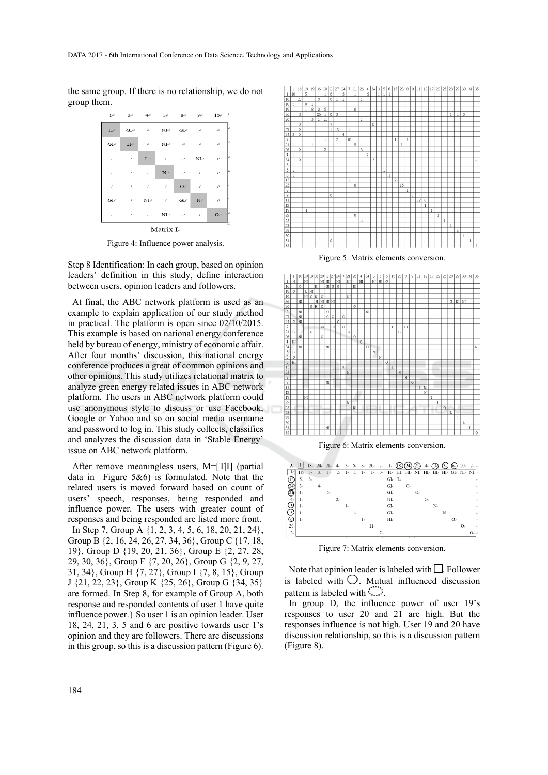the same group. If there is no relationship, we do not group them.



Figure 4: Influence power analysis.

Step 8 Identification: In each group, based on opinion leaders' definition in this study, define interaction between users, opinion leaders and followers.

At final, the ABC network platform is used as an example to explain application of our study method in practical. The platform is open since 02/10/2015. This example is based on national energy conference held by bureau of energy, ministry of economic affair. After four months' discussion, this national energy conference produces a great of common opinions and other opinions. This study utilizes relational matrix to analyze green energy related issues in ABC network platform. The users in ABC network platform could use anonymous style to discuss or use Facebook, Google or Yahoo and so on social media username and password to log in. This study collects, classifies and analyzes the discussion data in 'Stable Energy' issue on ABC network platform.

After remove meaningless users, M=[T|I] (partial data in Figure 5&6) is formulated. Note that the related users is moved forward based on count of users' speech, responses, being responded and influence power. The users with greater count of responses and being responded are listed more front. In Step 7, Group A {1, 2, 3, 4, 5, 6, 18, 20, 21, 24}, Group B {2, 16, 24, 26, 27, 34, 36}, Group C {17, 18, 19}, Group D {19, 20, 21, 36}, Group E {2, 27, 28, 29, 30, 36}, Group F {7, 20, 26}, Group G {2, 9, 27, 31, 34}, Group H {7, 27}, Group I {7, 8, 15}, Group J {21, 22, 23}, Group K {25, 26}, Group G {34, 35} are formed. In Step 8, for example of Group A, both response and responded contents of user 1 have quite influence power.} So user 1 is an opinion leader. User 18, 24, 21, 3, 5 and 6 are positive towards user  $1's$ opinion and they are followers. There are discussions in this group, so this is a discussion pattern (Figure 6).



Figure 5: Matrix elements conversion.



Figure 7: Matrix elements conversion.

7.

Note that opinion leader is labeled with  $\Box$ . Follower is labeled with  $\bigcirc$ . Mutual influenced discussion pattern is labeled with  $\ldots$ .

In group D, the influence power of user 19's responses to user 20 and 21 are high. But the responses influence is not high. User 19 and 20 have discussion relationship, so this is a discussion pattern (Figure 8).